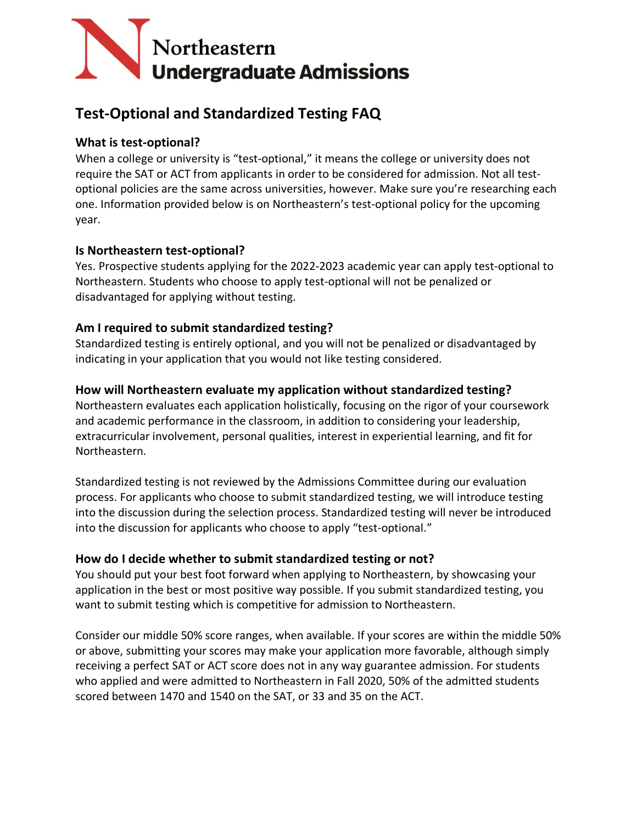

# **Test-Optional and Standardized Testing FAQ**

### **What is test-optional?**

When a college or university is "test-optional," it means the college or university does not require the SAT or ACT from applicants in order to be considered for admission. Not all testoptional policies are the same across universities, however. Make sure you're researching each one. Information provided below is on Northeastern's test-optional policy for the upcoming year.

### **Is Northeastern test-optional?**

Yes. Prospective students applying for the 2022-2023 academic year can apply test-optional to Northeastern. Students who choose to apply test-optional will not be penalized or disadvantaged for applying without testing. 

### **Am I required to submit standardized testing?**

Standardized testing is entirely optional, and you will not be penalized or disadvantaged by indicating in your application that you would not like testing considered.

### **How will Northeastern evaluate my application without standardized testing?**

Northeastern evaluates each application holistically, focusing on the rigor of your coursework and academic performance in the classroom, in addition to considering your leadership, extracurricular involvement, personal qualities, interest in experiential learning, and fit for Northeastern.

Standardized testing is not reviewed by the Admissions Committee during our evaluation process. For applicants who choose to submit standardized testing, we will introduce testing into the discussion during the selection process. Standardized testing will never be introduced into the discussion for applicants who choose to apply "test-optional."

### **How do I decide whether to submit standardized testing or not?**

You should put your best foot forward when applying to Northeastern, by showcasing your application in the best or most positive way possible. If you submit standardized testing, you want to submit testing which is competitive for admission to Northeastern.

Consider our middle 50% score ranges, when available. If your scores are within the middle 50% or above, submitting your scores may make your application more favorable, although simply receiving a perfect SAT or ACT score does not in any way guarantee admission. For students who applied and were admitted to Northeastern in Fall 2020, 50% of the admitted students scored between 1470 and 1540 on the SAT, or 33 and 35 on the ACT.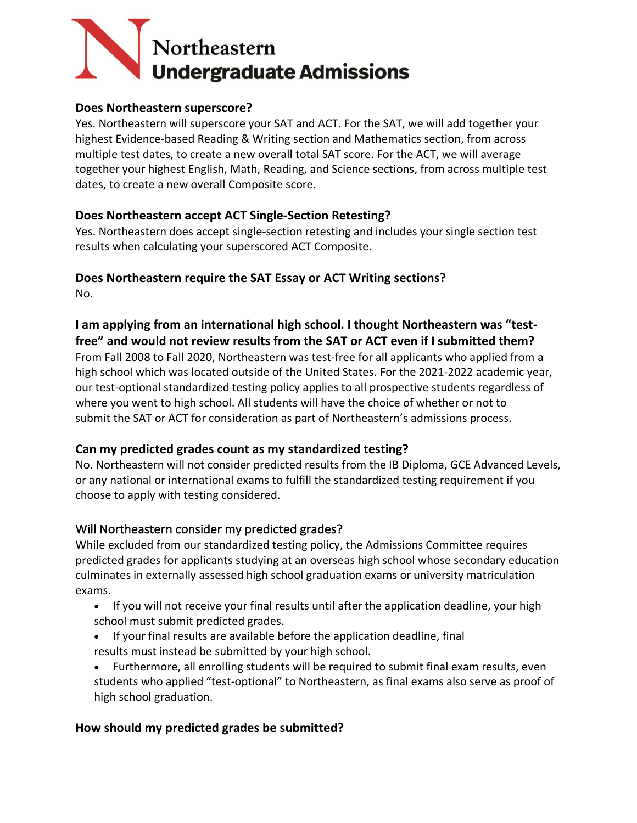# Northeastern **Undergraduate Admissions**

#### **Does Northeastern superscore?**

Yes. Northeastern will superscore your SAT and ACT. For the SAT, we will add together your highest Evidence-based Reading & Writing section and Mathematics section, from across multiple test dates, to create a new overall total SAT score. For the ACT, we will average together your highest English, Math, Reading, and Science sections, from across multiple test dates, to create a new overall Composite score. 

### **Does Northeastern accept ACT Single-Section Retesting?**

Yes. Northeastern does accept single-section retesting and includes your single section test results when calculating your superscored ACT Composite.

**Does Northeastern require the SAT Essay or ACT Writing sections?** No. 

**I am applying from an international high school. I thought Northeastern was "testfree" and would not review results from the SAT or ACT even if I submitted them?** From Fall 2008 to Fall 2020, Northeastern was test-free for all applicants who applied from a high school which was located outside of the United States. For the 2021-2022 academic year, our test-optional standardized testing policy applies to all prospective students regardless of where you went to high school. All students will have the choice of whether or not to submit the SAT or ACT for consideration as part of Northeastern's admissions process.

### **Can my predicted grades count as my standardized testing?**

No. Northeastern will not consider predicted results from the IB Diploma, GCE Advanced Levels, or any national or international exams to fulfill the standardized testing requirement if you choose to apply with testing considered.

## Will Northeastern consider my predicted grades?

While excluded from our standardized testing policy, the Admissions Committee requires predicted grades for applicants studying at an overseas high school whose secondary education culminates in externally assessed high school graduation exams or university matriculation exams.

- If you will not receive your final results until after the application deadline, your high school must submit predicted grades.
- If your final results are available before the application deadline, final results must instead be submitted by your high school.
- Furthermore, all enrolling students will be required to submit final exam results, even students who applied "test-optional" to Northeastern, as final exams also serve as proof of high school graduation.

## **How should my predicted grades be submitted?**